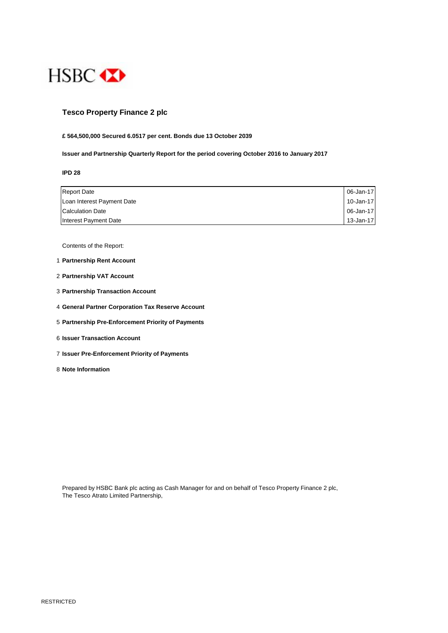

## **Tesco Property Finance 2 plc**

#### **£ 564,500,000 Secured 6.0517 per cent. Bonds due 13 October 2039**

**Issuer and Partnership Quarterly Report for the period covering October 2016 to January 2017**

**IPD 28**

| <b>Report Date</b>         | 06-Jan-17 |
|----------------------------|-----------|
| Loan Interest Payment Date | 10-Jan-17 |
| <b>Calculation Date</b>    | 06-Jan-17 |
| Interest Payment Date      | 13-Jan-17 |

Contents of the Report:

- 1 **Partnership Rent Account**
- 2 **Partnership VAT Account**
- 3 **Partnership Transaction Account**
- 4 **General Partner Corporation Tax Reserve Account**
- 5 **Partnership Pre-Enforcement Priority of Payments**
- 6 **Issuer Transaction Account**
- 7 **Issuer Pre-Enforcement Priority of Payments**
- 8 **Note Information**

Prepared by HSBC Bank plc acting as Cash Manager for and on behalf of Tesco Property Finance 2 plc, The Tesco Atrato Limited Partnership,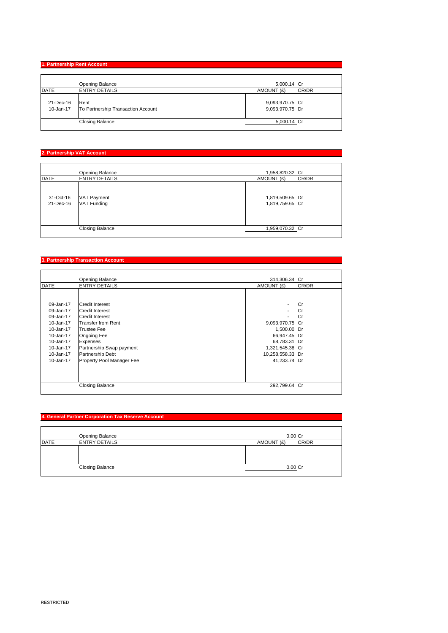# **1. Partnership Rent Account**

|             | Opening Balance                                        | 5,000.14 Cr                        |
|-------------|--------------------------------------------------------|------------------------------------|
| <b>DATE</b> | <b>ENTRY DETAILS</b>                                   | AMOUNT (£)<br>CR/DR                |
| 21-Dec-16   | Rent<br>10-Jan-17   To Partnership Transaction Account | 9,093,970.75 Cr<br>9,093,970.75 Dr |
|             | <b>Closing Balance</b>                                 | 5,000.14 Cr                        |
|             |                                                        |                                    |

### **2. Partnership VAT Account**

|                        | <b>Opening Balance</b>                   | 1,958,820.32 Cr                    |       |
|------------------------|------------------------------------------|------------------------------------|-------|
| <b>DATE</b>            | <b>ENTRY DETAILS</b>                     | AMOUNT (£)                         | CR/DR |
| 31-Oct-16<br>21-Dec-16 | <b>VAT Payment</b><br><b>VAT Funding</b> | 1,819,509.65 Dr<br>1,819,759.65 Cr |       |
|                        | <b>Closing Balance</b>                   | 1,959,070.32 Cr                    |       |

#### **3. Partnership Transaction Account**

|             | Opening Balance           | 314,306.34 Cr    |           |
|-------------|---------------------------|------------------|-----------|
| <b>DATE</b> | <b>ENTRY DETAILS</b>      | AMOUNT (£)       | CR/DR     |
|             |                           |                  |           |
|             |                           |                  |           |
| 09-Jan-17   | <b>Credit Interest</b>    | ۰                | l Cr      |
| 09-Jan-17   | <b>Credit Interest</b>    | ۰                | Cr        |
| 09-Jan-17   | <b>Credit Interest</b>    |                  | l Cr      |
| 10-Jan-17   | <b>Transfer from Rent</b> | 9,093,970.75     | <b>Cr</b> |
| 10-Jan-17   | <b>Trustee Fee</b>        | 1,500.00 Dr      |           |
| 10-Jan-17   | Ongoing Fee               | 66,947.45 Dr     |           |
| 10-Jan-17   | <b>Expenses</b>           | 68,783.31 Dr     |           |
| 10-Jan-17   | Partnership Swap payment  | 1,321,545.38 Cr  |           |
| 10-Jan-17   | Partnership Debt          | 10,258,558.33 Dr |           |
| 10-Jan-17   | Property Pool Manager Fee | 41,233.74 Dr     |           |
|             |                           |                  |           |
|             |                           |                  |           |
|             |                           |                  |           |
|             | <b>Closing Balance</b>    | 292,799.64 Cr    |           |

### **4. General Partner Corporation Tax Reserve Account**

|             | Opening Balance        | $0.00$ Cr  |       |
|-------------|------------------------|------------|-------|
| <b>DATE</b> | <b>ENTRY DETAILS</b>   | AMOUNT (£) | CR/DR |
|             |                        |            |       |
|             |                        |            |       |
|             |                        |            |       |
|             | <b>Closing Balance</b> | 0.00 Cr    |       |
|             |                        |            |       |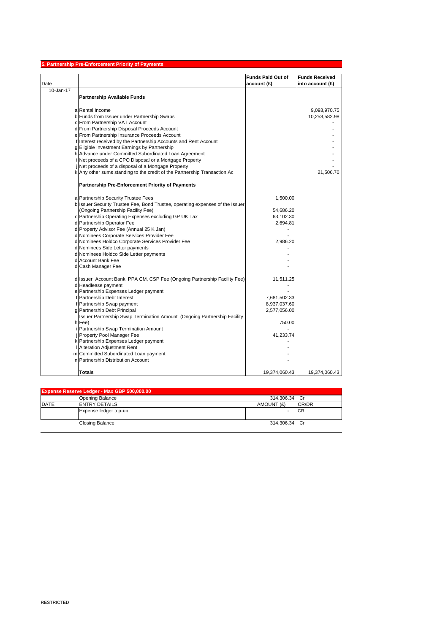|           | 5. Partnership Pre-Enforcement Priority of Payments                           |                          |                       |
|-----------|-------------------------------------------------------------------------------|--------------------------|-----------------------|
|           |                                                                               | <b>Funds Paid Out of</b> | <b>Funds Received</b> |
| Date      |                                                                               | account (£)              | into account (£)      |
| 10-Jan-17 |                                                                               |                          |                       |
|           | <b>Partnership Available Funds</b>                                            |                          |                       |
|           |                                                                               |                          |                       |
|           | a Rental Income                                                               |                          | 9,093,970.75          |
|           | b Funds from Issuer under Partnership Swaps                                   |                          | 10,258,582.98         |
|           | c From Partnership VAT Account                                                |                          |                       |
|           | d From Partnership Disposal Proceeds Account                                  |                          |                       |
|           | e From Partnership Insurance Proceeds Account                                 |                          |                       |
|           | f Interest received by the Partnership Accounts and Rent Account              |                          |                       |
|           | g Eligible Investment Earnings by Partnership                                 |                          |                       |
|           | h Advance under Committed Subordinated Loan Agreement                         |                          |                       |
|           | Net proceeds of a CPO Disposal or a Mortgage Property                         |                          |                       |
|           | Net proceeds of a disposal of a Mortgage Property                             |                          |                       |
|           | k Any other sums standing to the credit of the Partnership Transaction Ac     |                          | 21,506.70             |
|           | <b>Partnership Pre-Enforcement Priority of Payments</b>                       |                          |                       |
|           |                                                                               |                          |                       |
|           | a Partnership Security Trustee Fees                                           | 1,500.00                 |                       |
|           | b Issuer Security Trustee Fee, Bond Trustee, operating expenses of the Issuer |                          |                       |
|           | (Ongoing Partnership Facility Fee)                                            | 54,686.20                |                       |
|           | c Partnership Operating Expenses excluding GP UK Tax                          | 63,102.30                |                       |
|           | d Partnership Operator Fee                                                    | 2,694.81                 |                       |
|           | d Property Advisor Fee (Annual 25 K Jan)                                      |                          |                       |
|           | d Nominees Corporate Services Provider Fee                                    |                          |                       |
|           | d Nominees Holdco Corporate Services Provider Fee                             | 2,986.20                 |                       |
|           | d Nominees Side Letter payments                                               |                          |                       |
|           | d Nominees Holdco Side Letter payments                                        |                          |                       |
|           | d Account Bank Fee                                                            |                          |                       |
|           | d Cash Manager Fee                                                            |                          |                       |
|           | d Issuer Account Bank, PPA CM, CSP Fee (Ongoing Partnership Facility Fee)     | 11,511.25                |                       |
|           | d Headlease payment                                                           |                          |                       |
|           | e Partnership Expenses Ledger payment                                         |                          |                       |
|           | Partnership Debt Interest                                                     | 7,681,502.33             |                       |
|           | Partnership Swap payment                                                      | 8,937,037.60             |                       |
|           | g Partnership Debt Principal                                                  | 2,577,056.00             |                       |
|           | Issuer Partnership Swap Termination Amount (Ongoing Partnership Facility      |                          |                       |
|           | h Fee)                                                                        | 750.00                   |                       |
|           | Partnership Swap Termination Amount                                           |                          |                       |
|           | Property Pool Manager Fee                                                     | 41,233.74                |                       |
|           | k Partnership Expenses Ledger payment                                         |                          |                       |
|           | <b>Alteration Adjustment Rent</b>                                             |                          |                       |
|           | m Committed Subordinated Loan payment                                         |                          |                       |
|           | n Partnership Distribution Account                                            |                          |                       |
|           | Totals                                                                        | 19,374,060.43            | 19,374,060.43         |
|           |                                                                               |                          |                       |

| <b>Expense Reserve Ledger - Max GBP 500,000.00</b> |                        |                     |
|----------------------------------------------------|------------------------|---------------------|
|                                                    | Opening Balance        | 314.306.34 Cr       |
| <b>DATE</b>                                        | <b>ENTRY DETAILS</b>   | CR/DR<br>AMOUNT (£) |
|                                                    | Expense ledger top-up  | <b>CR</b>           |
|                                                    | <b>Closing Balance</b> | 314.306.34 Cr       |
|                                                    |                        |                     |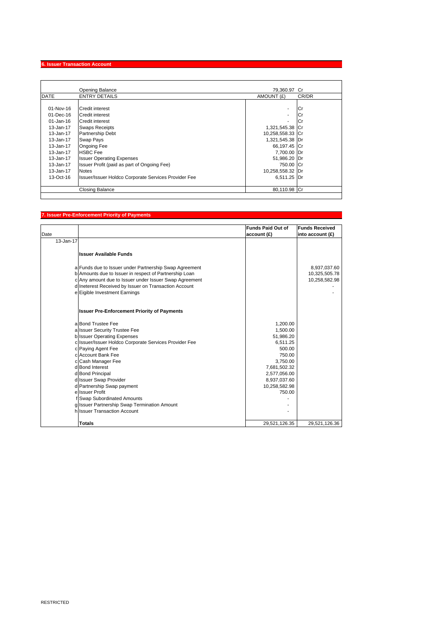#### **6. Issuer Transaction Account**

|               | <b>Opening Balance</b>                               | 79.360.97 Cr             |       |
|---------------|------------------------------------------------------|--------------------------|-------|
| <b>DATE</b>   | <b>ENTRY DETAILS</b>                                 | AMOUNT (£)               | CR/DR |
|               |                                                      |                          |       |
| $01 - Nov-16$ | Credit interest                                      | $\overline{\phantom{a}}$ | l Cr  |
| 01-Dec-16     | Credit interest                                      | $\overline{\phantom{a}}$ | Cr    |
| $01$ -Jan-16  | Credit interest                                      |                          | l Cr  |
| $13 - Jan-17$ | <b>Swaps Receipts</b>                                | 1,321,545.38 Cr          |       |
| 13-Jan-17     | <b>Partnership Debt</b>                              | 10,258,558.33 Cr         |       |
| 13-Jan-17     | Swap Pays                                            | 1,321,545.38 Dr          |       |
| 13-Jan-17     | <b>Ongoing Fee</b>                                   | 66,197.45 Cr             |       |
| 13-Jan-17     | <b>HSBC</b> Fee                                      | 7,700.00 Dr              |       |
| $13 - Jan-17$ | <b>Issuer Operating Expenses</b>                     | 51,986.20 Dr             |       |
| 13-Jan-17     | Issuer Profit (paid as part of Ongoing Fee)          | 750.00 Cr                |       |
| 13-Jan-17     | <b>Notes</b>                                         | 10,258,558.32 Dr         |       |
| $13-Oct-16$   | Issuer/Issuer Holdco Corporate Services Provider Fee | 6.511.25 Dr              |       |
|               | Closing Balance                                      | 80,110.98 Cr             |       |

### **7. Issuer Pre-Enforcement Priority of Payments**

|               |                                                        | <b>Funds Paid Out of</b> | <b>Funds Received</b> |
|---------------|--------------------------------------------------------|--------------------------|-----------------------|
| Date          |                                                        | account(f)               | into account $(f)$    |
| $13 - Jan-17$ |                                                        |                          |                       |
|               |                                                        |                          |                       |
|               | <b>Issuer Available Funds</b>                          |                          |                       |
|               | a Funds due to Issuer under Partnership Swap Agreement |                          | 8,937,037.60          |
|               | b Amounts due to Issuer in respect of Partnership Loan |                          | 10,325,505.78         |
|               | c Any amount due to Issuer under Issuer Swap Agreement |                          | 10,258,582.98         |
|               | d Ineterest Received by Issuer on Transaction Account  |                          |                       |
|               | e Eigible Investment Earnings                          |                          |                       |
|               | <b>Issuer Pre-Enforcement Priority of Payments</b>     |                          |                       |
|               | a Bond Trustee Fee                                     | 1,200.00                 |                       |
|               | a Issuer Security Trustee Fee                          | 1.500.00                 |                       |
|               | b Issuer Operating Expenses                            | 51,986.20                |                       |
|               | c Issuer/Issuer Holdco Corporate Services Provider Fee | 6,511.25                 |                       |
|               | c Paying Agent Fee                                     | 500.00                   |                       |
|               | c Account Bank Fee                                     | 750.00                   |                       |
|               | c Cash Manager Fee                                     | 3,750.00                 |                       |
|               | d Bond Interest                                        | 7,681,502.32             |                       |
|               | d Bond Principal                                       | 2,577,056.00             |                       |
|               | d Issuer Swap Provider                                 | 8,937,037.60             |                       |
|               | d Partnership Swap payment                             | 10,258,582.98            |                       |
|               | e Issuer Profit                                        | 750.00                   |                       |
|               | f Swap Subordinated Amounts                            |                          |                       |
|               | g Issuer Partnership Swap Termination Amount           |                          |                       |
|               | hussuer Transaction Account                            |                          |                       |
|               | <b>Totals</b>                                          | 29,521,126.35            | 29,521,126.36         |